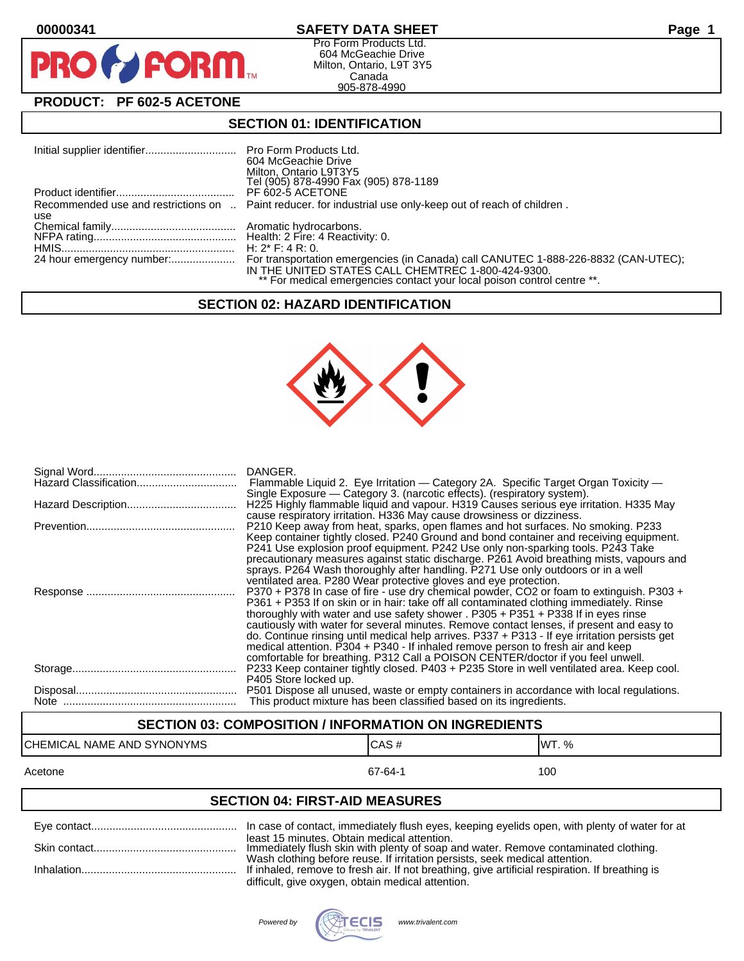PF



Pro Form Products Ltd. 604 McGeachie Drive Milton, Ontario, L9T 3Y5 Canada 905-878-4990

## **PRODUCT: PF 602-5 ACETONE**

**FORM** 

#### **SECTION 01: IDENTIFICATION**

|     | 604 McGeachie Drive<br>Milton, Ontario L9T3Y5<br>Tel (905) 878-4990 Fax (905) 878-1189                                        |
|-----|-------------------------------------------------------------------------------------------------------------------------------|
|     | PF 602-5 ACETONE                                                                                                              |
| use | Recommended use and restrictions on  Paint reducer. for industrial use only-keep out of reach of children.                    |
|     |                                                                                                                               |
|     |                                                                                                                               |
|     |                                                                                                                               |
|     | IN THE UNITED STATES CALL CHEMTREC 1-800-424-9300.<br>** For medical emergencies contact your local poison control centre **. |

#### **SECTION 02: HAZARD IDENTIFICATION**



| DANGER.<br>Flammable Liquid 2. Eye Irritation — Category 2A. Specific Target Organ Toxicity —<br>Single Exposure — Category 3. (narcotic effects). (respiratory system).                                                                                                                                                                                                                                                                                                                                                                                                                                                                     |
|----------------------------------------------------------------------------------------------------------------------------------------------------------------------------------------------------------------------------------------------------------------------------------------------------------------------------------------------------------------------------------------------------------------------------------------------------------------------------------------------------------------------------------------------------------------------------------------------------------------------------------------------|
| H225 Highly flammable liquid and vapour. H319 Causes serious eye irritation. H335 May<br>cause respiratory irritation. H336 May cause drowsiness or dizziness.                                                                                                                                                                                                                                                                                                                                                                                                                                                                               |
| P210 Keep away from heat, sparks, open flames and hot surfaces. No smoking. P233<br>Keep container tightly closed. P240 Ground and bond container and receiving equipment.<br>P241 Use explosion proof equipment. P242 Use only non-sparking tools. P243 Take<br>precautionary measures against static discharge. P261 Avoid breathing mists, vapours and<br>sprays. P264 Wash thoroughly after handling. P271 Use only outdoors or in a well<br>ventilated area. P280 Wear protective gloves and eye protection.                                                                                                                            |
| P370 + P378 In case of fire - use dry chemical powder, CO2 or foam to extinguish. P303 +<br>P361 + P353 If on skin or in hair: take off all contaminated clothing immediately. Rinse<br>thoroughly with water and use safety shower . P305 + P351 + P338 If in eyes rinse<br>cautiously with water for several minutes. Remove contact lenses, if present and easy to<br>do. Continue rinsing until medical help arrives. P337 + P313 - If eye irritation persists get<br>medical attention. P304 + P340 - If inhaled remove person to fresh air and keep<br>comfortable for breathing. P312 Call a POISON CENTER/doctor if you feel unwell. |
| P233 Keep container tightly closed. P403 + P235 Store in well ventilated area. Keep cool.<br>P405 Store locked up.                                                                                                                                                                                                                                                                                                                                                                                                                                                                                                                           |
| P501 Dispose all unused, waste or empty containers in accordance with local regulations.<br>This product mixture has been classified based on its ingredients.                                                                                                                                                                                                                                                                                                                                                                                                                                                                               |

## **SECTION 03: COMPOSITION / INFORMATION ON INGREDIENTS**

# CHEMICAL NAME AND SYNONYMS CAS # CAS # WT. %

#### Acetone 67-64-1 100

#### **SECTION 04: FIRST-AID MEASURES**

| least 15 minutes. Obtain medical attention.<br>Immediately flush skin with plenty of soap and water. Remove contaminated clothing.                                             |
|--------------------------------------------------------------------------------------------------------------------------------------------------------------------------------|
| Wash clothing before reuse. If irritation persists, seek medical attention.<br>If inhaled, remove to fresh air. If not breathing, give artificial respiration. If breathing is |
| difficult, give oxygen, obtain medical attention.                                                                                                                              |

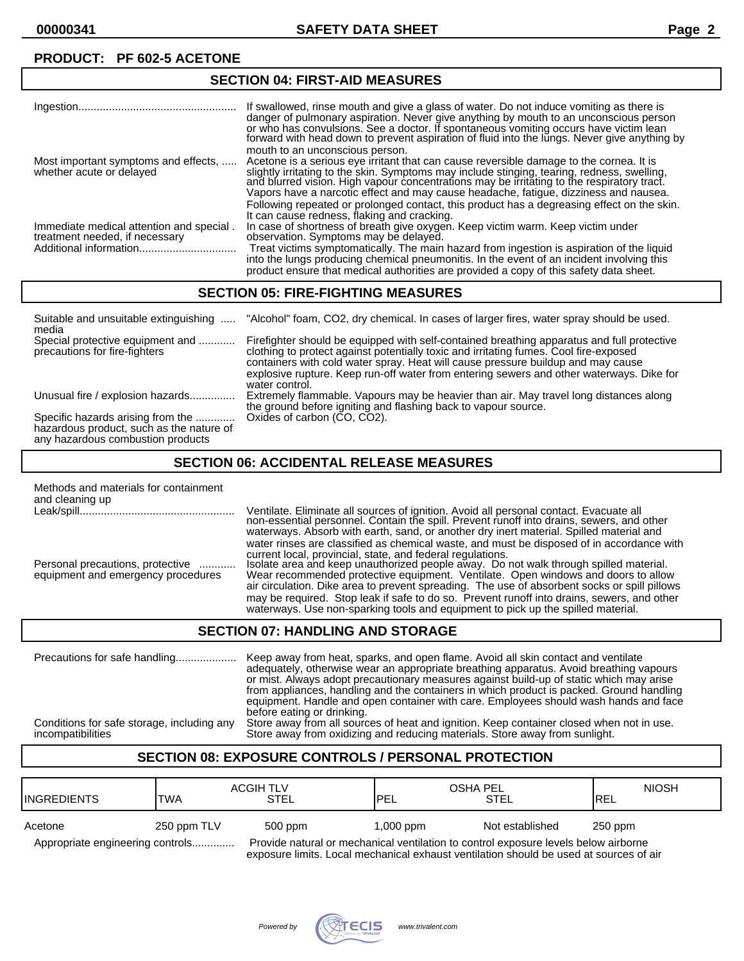| <b>SECTION 04: FIRST-AID MEASURES</b>                                      |                                                                                                                                                                                                                                                                                                                                                                                                                 |  |
|----------------------------------------------------------------------------|-----------------------------------------------------------------------------------------------------------------------------------------------------------------------------------------------------------------------------------------------------------------------------------------------------------------------------------------------------------------------------------------------------------------|--|
|                                                                            | If swallowed, rinse mouth and give a glass of water. Do not induce vomiting as there is<br>danger of pulmonary aspiration. Never give anything by mouth to an unconscious person<br>or who has convulsions. See a doctor. If spontaneous vomiting occurs have victim lean<br>forward with head down to prevent aspiration of fluid into the lungs. Never give anything by                                       |  |
| Most important symptoms and effects,<br>whether acute or delayed           | mouth to an unconscious person.<br>Acetone is a serious eye irritant that can cause reversible damage to the cornea. It is<br>slightly irritating to the skin. Symptoms may include stinging, tearing, redness, swelling,<br>and blurred vision. High vapour concentrations may be irritating to the respiratory tract.<br>Vapors have a narcotic effect and may cause headache, fatigue, dizziness and nausea. |  |
| Immediate medical attention and special.<br>treatment needed, if necessary | Following repeated or prolonged contact, this product has a degreasing effect on the skin.<br>It can cause redness, flaking and cracking.<br>In case of shortness of breath give oxygen. Keep victim warm. Keep victim under<br>observation. Symptoms may be delayed.                                                                                                                                           |  |
|                                                                            | Treat victims symptomatically. The main hazard from ingestion is aspiration of the liquid<br>into the lungs producing chemical pneumonitis. In the event of an incident involving this<br>product ensure that medical authorities are provided a copy of this safety data sheet.                                                                                                                                |  |

#### **SECTION 05: FIRE-FIGHTING MEASURES**

| Suitable and unsuitable extinguishing<br>media                                                                     | "Alcohol" foam, CO2, dry chemical. In cases of larger fires, water spray should be used.                                                                                                                                                                                                                                                                                              |
|--------------------------------------------------------------------------------------------------------------------|---------------------------------------------------------------------------------------------------------------------------------------------------------------------------------------------------------------------------------------------------------------------------------------------------------------------------------------------------------------------------------------|
| Special protective equipment and<br>precautions for fire-fighters                                                  | Firefighter should be equipped with self-contained breathing apparatus and full protective<br>clothing to protect against potentially toxic and irritating fumes. Cool fire-exposed<br>containers with cold water spray. Heat will cause pressure buildup and may cause<br>explosive rupture. Keep run-off water from entering sewers and other waterways. Dike for<br>water control. |
| Unusual fire / explosion hazards                                                                                   | Extremely flammable. Vapours may be heavier than air. May travel long distances along<br>the ground before igniting and flashing back to vapour source.                                                                                                                                                                                                                               |
| Specific hazards arising from the<br>hazardous product, such as the nature of<br>any hazardous combustion products | Oxides of carbon (CO, CO2).                                                                                                                                                                                                                                                                                                                                                           |

#### **SECTION 06: ACCIDENTAL RELEASE MEASURES**

| Methods and materials for containment<br>and cleaning up               |                                                                                                                                                                                                                                                                                                                                                                                                                                                                                                                            |
|------------------------------------------------------------------------|----------------------------------------------------------------------------------------------------------------------------------------------------------------------------------------------------------------------------------------------------------------------------------------------------------------------------------------------------------------------------------------------------------------------------------------------------------------------------------------------------------------------------|
|                                                                        | Ventilate. Eliminate all sources of ignition. Avoid all personal contact. Evacuate all non-essential personnel. Contain the spill. Prevent runoff into drains, sewers, and other<br>waterways. Absorb with earth, sand, or another dry inert material. Spilled material and<br>water rinses are classified as chemical waste, and must be disposed of in accordance with                                                                                                                                                   |
| Personal precautions, protective<br>equipment and emergency procedures | current local, provincial, state, and federal regulations.<br>Isolate area and keep unauthorized people away. Do not walk through spilled material.<br>Wear recommended protective equipment. Ventilate. Open windows and doors to allow<br>air circulation. Dike area to prevent spreading. The use of absorbent socks or spill pillows<br>may be required. Stop leak if safe to do so. Prevent runoff into drains, sewers, and other<br>waterways. Use non-sparking tools and equipment to pick up the spilled material. |

#### **SECTION 07: HANDLING AND STORAGE**

Precautions for safe handling.................... Keep away from heat, sparks, and open flame. Avoid all skin contact and ventilate adequately, otherwise wear an appropriate breathing apparatus. Avoid breathing vapours or mist. Always adopt precautionary measures against build-up of static which may arise from appliances, handling and the containers in which product is packed. Ground handling equipment. Handle and open container with care. Employees should wash hands and face before eating or drinking. Conditions for safe storage, including any Store away from all sources of heat and ignition. Keep container closed when not in use.<br>
Store away from oxidizing and reducing materials. Store away from sunlight. Store away from oxidizing and reducing materials. Store away from sunlight.

#### **SECTION 08: EXPOSURE CONTROLS / PERSONAL PROTECTION**

| IINGREDIENTS                     | <b>TWA</b>  | <b>ACGIH TLV</b><br><b>STEL</b>                                                     | OSHA PEL<br><b>IPEL</b> | STEL            | <b>NIOSH</b><br><b>IREL</b> |
|----------------------------------|-------------|-------------------------------------------------------------------------------------|-------------------------|-----------------|-----------------------------|
| Acetone                          | 250 ppm TLV | 500 ppm                                                                             | $1,000$ ppm             | Not established | $250$ ppm                   |
| Appropriate engineering controls |             | Provide natural or mechanical ventilation to control exposure levels below airborne |                         |                 |                             |

exposure limits. Local mechanical exhaust ventilation should be used at sources of air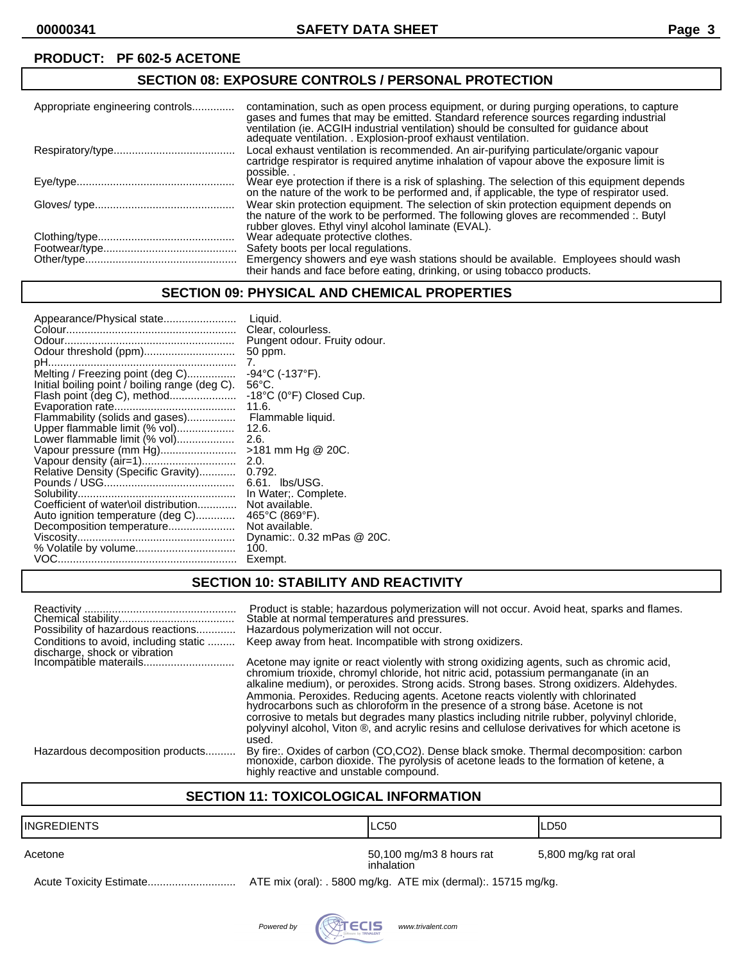## **SECTION 08: EXPOSURE CONTROLS / PERSONAL PROTECTION**

| Appropriate engineering controls | contamination, such as open process equipment, or during purging operations, to capture<br>gases and fumes that may be emitted. Standard reference sources regarding industrial<br>ventilation (ie. ACGIH industrial ventilation) should be consulted for guidance about<br>adequate ventilation. . Explosion-proof exhaust ventilation. |
|----------------------------------|------------------------------------------------------------------------------------------------------------------------------------------------------------------------------------------------------------------------------------------------------------------------------------------------------------------------------------------|
|                                  | Local exhaust ventilation is recommended. An air-purifying particulate/organic vapour<br>cartridge respirator is required anytime inhalation of vapour above the exposure limit is<br>possible                                                                                                                                           |
|                                  | Wear eye protection if there is a risk of splashing. The selection of this equipment depends<br>on the nature of the work to be performed and, if applicable, the type of respirator used.                                                                                                                                               |
|                                  | Wear skin protection equipment. The selection of skin protection equipment depends on<br>the nature of the work to be performed. The following gloves are recommended :. Butyl<br>rubber gloves. Ethyl vinyl alcohol laminate (EVAL).                                                                                                    |
|                                  | Wear adequate protective clothes.                                                                                                                                                                                                                                                                                                        |
|                                  | Safety boots per local regulations.                                                                                                                                                                                                                                                                                                      |
|                                  | Emergency showers and eye wash stations should be available. Employees should wash<br>their hands and face before eating, drinking, or using tobacco products.                                                                                                                                                                           |

#### **SECTION 09: PHYSICAL AND CHEMICAL PROPERTIES**

| Appearance/Physical state                      | Liquid.<br>Clear, colourless.                |
|------------------------------------------------|----------------------------------------------|
|                                                | Pungent odour. Fruity odour.                 |
|                                                | 50 ppm.                                      |
|                                                | 7.                                           |
| Melting / Freezing point (deg C)               | -94°C (-137°F).                              |
| Initial boiling point / boiling range (deg C). | $56^{\circ}$ C.                              |
| Flash point (deg C), method                    | $-18^{\circ}$ C (0 $^{\circ}$ F) Closed Cup. |
|                                                | 11.6.                                        |
| Flammability (solids and gases)                | Flammable liquid.                            |
| Upper flammable limit (% vol)                  | 12.6.                                        |
| Lower flammable limit (% vol)                  | 2.6.                                         |
| Vapour pressure (mm Hg)                        | >181 mm Hg @ 20C.                            |
|                                                | 2.0.                                         |
| Relative Density (Specific Gravity)            | 0.792.                                       |
|                                                | 6.61. lbs/USG.                               |
|                                                |                                              |
| Coefficient of water\oil distribution          | In Water:. Complete.<br>Not available.       |
|                                                |                                              |
| Auto ignition temperature (deg C)              | 465°C (869°F).                               |
| Decomposition temperature                      | Not available.                               |
|                                                | Dynamic: 0.32 mPas @ 20C.                    |
| % Volatile by volume                           | 100.                                         |
|                                                | Exempt.                                      |

## **SECTION 10: STABILITY AND REACTIVITY**

| Possibility of hazardous reactions<br>Conditions to avoid, including static | Product is stable; hazardous polymerization will not occur. Avoid heat, sparks and flames.<br>Stable at normal temperatures and pressures.<br>Hazardous polymerization will not occur.<br>Keep away from heat. Incompatible with strong oxidizers.                                                                                                                  |
|-----------------------------------------------------------------------------|---------------------------------------------------------------------------------------------------------------------------------------------------------------------------------------------------------------------------------------------------------------------------------------------------------------------------------------------------------------------|
| discharge, shock or vibration<br>Incompătible materails                     | Acetone may ignite or react violently with strong oxidizing agents, such as chromic acid,                                                                                                                                                                                                                                                                           |
|                                                                             | chromium trioxide, chromyl chloride, hot nitric acid, potassium permanganate (in an<br>alkaline medium), or peroxides. Strong acids. Strong bases. Strong oxidizers. Aldehydes.                                                                                                                                                                                     |
|                                                                             | Ammonia. Peroxides. Reducing agents. Acetone reacts violently with chlorinated<br>hydrocarbons such as chloroform in the presence of a strong base. Acetone is not<br>corrosive to metals but degrades many plastics including nitrile rubber, polyvinyl chloride,<br>polyvinyl alcohol, Viton ®, and acrylic resins and cellulose derivatives for which acetone is |
|                                                                             | used.                                                                                                                                                                                                                                                                                                                                                               |
| Hazardous decomposition products                                            | By fire:. Oxides of carbon (CO,CO2). Dense black smoke. Thermal decomposition: carbon monoxide, carbon dioxide. The pyrolysis of acetone leads to the formation of ketene, a<br>highly reactive and unstable compound.                                                                                                                                              |

### **SECTION 11: TOXICOLOGICAL INFORMATION**

| IINGREDIENTS | LC50                                                           | ILD50                |
|--------------|----------------------------------------------------------------|----------------------|
| Acetone      | 50,100 mg/m3 8 hours rat<br>inhalation                         | 5,800 mg/kg rat oral |
|              | ATE mix (oral): . 5800 mg/kg. ATE mix (dermal): . 15715 mg/kg. |                      |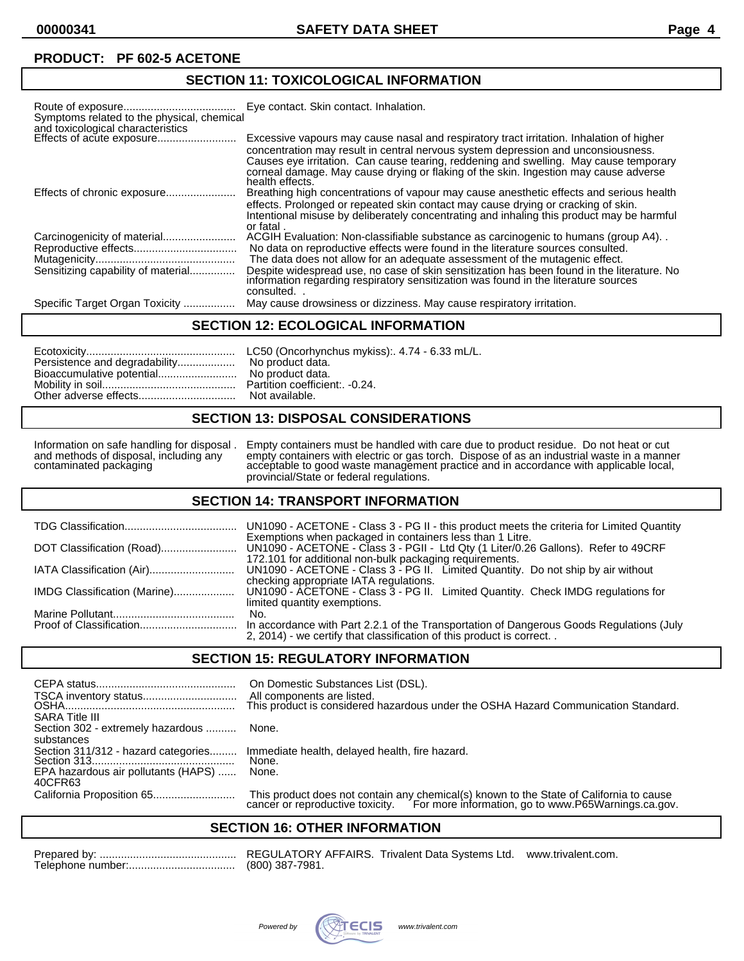## **SECTION 11: TOXICOLOGICAL INFORMATION**

| Symptoms related to the physical, chemical<br>and toxicological characteristics | Eye contact. Skin contact. Inhalation.                                                                                                                                                                                                                                                                                                                                            |
|---------------------------------------------------------------------------------|-----------------------------------------------------------------------------------------------------------------------------------------------------------------------------------------------------------------------------------------------------------------------------------------------------------------------------------------------------------------------------------|
| Effects of acute exposure                                                       | Excessive vapours may cause nasal and respiratory tract irritation. Inhalation of higher<br>concentration may result in central nervous system depression and unconsiousness.<br>Causes eye irritation. Can cause tearing, reddening and swelling. May cause temporary<br>corneal damage. May cause drying or flaking of the skin. Ingestion may cause adverse<br>health effects. |
| Effects of chronic exposure                                                     | Breathing high concentrations of vapour may cause anesthetic effects and serious health<br>effects. Prolonged or repeated skin contact may cause drying or cracking of skin.<br>Intentional misuse by deliberately concentrating and inhaling this product may be harmful<br>or fatal.                                                                                            |
|                                                                                 | ACGIH Evaluation: Non-classifiable substance as carcinogenic to humans (group A4).                                                                                                                                                                                                                                                                                                |
|                                                                                 | No data on reproductive effects were found in the literature sources consulted.                                                                                                                                                                                                                                                                                                   |
|                                                                                 | The data does not allow for an adequate assessment of the mutagenic effect.                                                                                                                                                                                                                                                                                                       |
| Sensitizing capability of material                                              | Despite widespread use, no case of skin sensitization has been found in the literature. No<br>information regarding respiratory sensitization was found in the literature sources<br>consulted.                                                                                                                                                                                   |
| Specific Target Organ Toxicity                                                  | May cause drowsiness or dizziness. May cause respiratory irritation.                                                                                                                                                                                                                                                                                                              |

#### **SECTION 12: ECOLOGICAL INFORMATION**

| Persistence and degradability No product data. |  |
|------------------------------------------------|--|
|------------------------------------------------|--|

#### **SECTION 13: DISPOSAL CONSIDERATIONS**

Information on safe handling for disposal . Empty containers must be handled with care due to product residue. Do not heat or cut and methods of disposal, including any empty containers with electric or gas torch. Dispose and methods of disposal, including any empty containers with electric or gas torch. Dispose of as an industrial waste in a manner contaminated packaging acceptable to good waste management practice and in accordance with applicable local, provincial/State or federal regulations.

#### **SECTION 14: TRANSPORT INFORMATION**

|                              | UN1090 - ACETONE - Class 3 - PG II - this product meets the criteria for Limited Quantity                                                                                                                  |
|------------------------------|------------------------------------------------------------------------------------------------------------------------------------------------------------------------------------------------------------|
|                              | Exemptions when packaged in containers less than 1 Litre.<br>UN1090 - ACETONE - Class 3 - PGII - Ltd Qty (1 Liter/0.26 Gallons). Refer to 49CRF<br>172.101 for additional non-bulk packaging requirements. |
|                              | UN1090 - ACETONE - Class 3 - PG II. Limited Quantity. Do not ship by air without<br>checking appropriate IATA regulations.                                                                                 |
| IMDG Classification (Marine) | UN1090 - ACETONE - Class 3 - PG II. Limited Quantity. Check IMDG regulations for<br>limited quantity exemptions.                                                                                           |
|                              | No.                                                                                                                                                                                                        |
|                              | In accordance with Part 2.2.1 of the Transportation of Dangerous Goods Regulations (July<br>2, 2014) - we certify that classification of this product is correct                                           |

#### **SECTION 15: REGULATORY INFORMATION**

| <b>SARA Title III</b>                           | On Domestic Substances List (DSL).<br>All components are listed.<br>This product is considered hazardous under the OSHA Hazard Communication Standard.                       |
|-------------------------------------------------|------------------------------------------------------------------------------------------------------------------------------------------------------------------------------|
| Section 302 - extremely hazardous<br>substances | None.                                                                                                                                                                        |
| Section 311/312 - hazard categories             | Immediate health, delayed health, fire hazard.<br>None.                                                                                                                      |
| EPA hazardous air pollutants (HAPS)<br>40CFR63  | None.                                                                                                                                                                        |
|                                                 | This product does not contain any chemical(s) known to the State of California to cause cancer or reproductive toxicity. For more information, go to www.P65Warnings.ca.gov. |

#### **SECTION 16: OTHER INFORMATION**

REGULATORY AFFAIRS. Trivalent Data Systems Ltd. www.trivalent.com. (800) 387-7981.